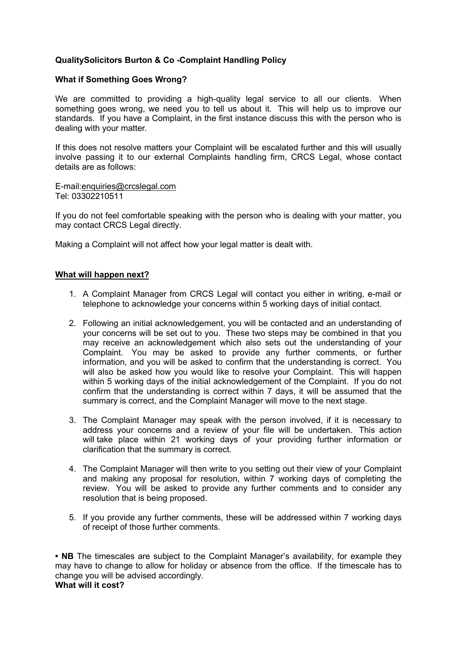# **QualitySolicitors Burton & Co -Complaint Handling Policy**

## **What if Something Goes Wrong?**

We are committed to providing a high-quality legal service to all our clients. When something goes wrong, we need you to tell us about it. This will help us to improve our standards. If you have a Complaint, in the first instance discuss this with the person who is dealing with your matter.

If this does not resolve matters your Complaint will be escalated further and this will usually involve passing it to our external Complaints handling firm, CRCS Legal, whose contact details are as follows:

E-mail[:enquiries@crcslegal.com](mailto:enquiries@crcslegal.com) Tel: 03302210511

If you do not feel comfortable speaking with the person who is dealing with your matter, you may contact CRCS Legal directly.

Making a Complaint will not affect how your legal matter is dealt with.

## **What will happen next?**

- 1. A Complaint Manager from CRCS Legal will contact you either in writing, e-mail or telephone to acknowledge your concerns within 5 working days of initial contact.
- 2. Following an initial acknowledgement, you will be contacted and an understanding of your concerns will be set out to you. These two steps may be combined in that you may receive an acknowledgement which also sets out the understanding of your Complaint. You may be asked to provide any further comments, or further information, and you will be asked to confirm that the understanding is correct. You will also be asked how you would like to resolve your Complaint. This will happen within 5 working days of the initial acknowledgement of the Complaint. If you do not confirm that the understanding is correct within 7 days, it will be assumed that the summary is correct, and the Complaint Manager will move to the next stage.
- 3. The Complaint Manager may speak with the person involved, if it is necessary to address your concerns and a review of your file will be undertaken. This action will take place within 21 working days of your providing further information or clarification that the summary is correct.
- 4. The Complaint Manager will then write to you setting out their view of your Complaint and making any proposal for resolution, within 7 working days of completing the review. You will be asked to provide any further comments and to consider any resolution that is being proposed.
- 5. If you provide any further comments, these will be addressed within 7 working days of receipt of those further comments.

• NB The timescales are subject to the Complaint Manager's availability, for example they may have to change to allow for holiday or absence from the office. If the timescale has to change you will be advised accordingly. **What will it cost?**